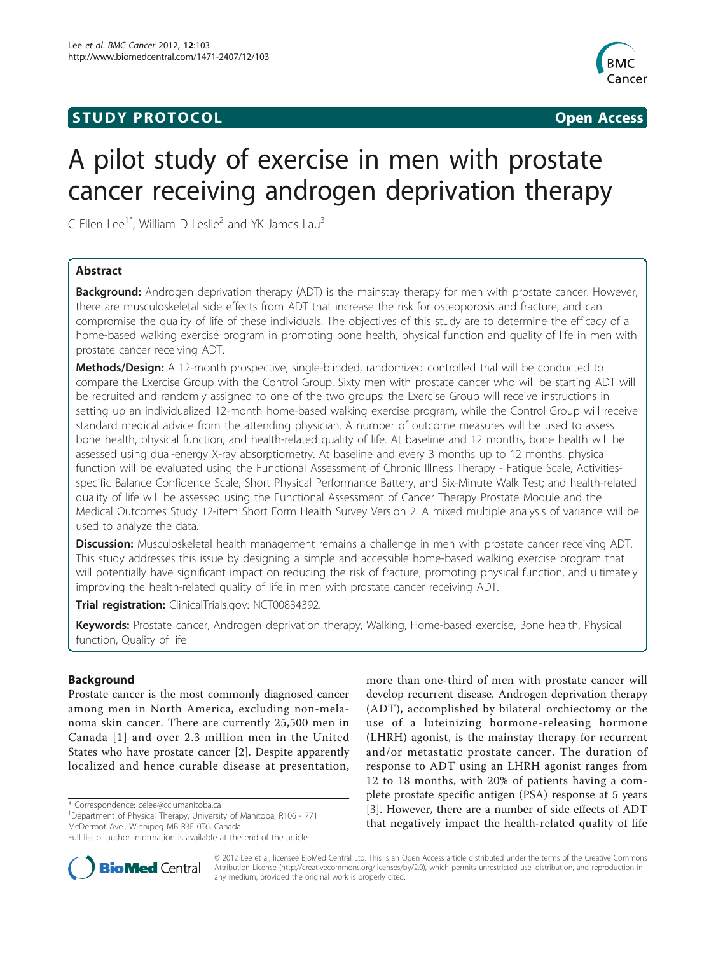### **STUDY PROTOCOL** And the state of the state of the state of the state of the state of the state of the state of the state of the state of the state of the state of the state of the state of the state of the state of the st



# A pilot study of exercise in men with prostate cancer receiving androgen deprivation therapy

C Ellen Lee<sup>1\*</sup>, William D Leslie<sup>2</sup> and YK James Lau<sup>3</sup>

#### Abstract

Background: Androgen deprivation therapy (ADT) is the mainstay therapy for men with prostate cancer. However, there are musculoskeletal side effects from ADT that increase the risk for osteoporosis and fracture, and can compromise the quality of life of these individuals. The objectives of this study are to determine the efficacy of a home-based walking exercise program in promoting bone health, physical function and quality of life in men with prostate cancer receiving ADT.

**Methods/Design:** A 12-month prospective, single-blinded, randomized controlled trial will be conducted to compare the Exercise Group with the Control Group. Sixty men with prostate cancer who will be starting ADT will be recruited and randomly assigned to one of the two groups: the Exercise Group will receive instructions in setting up an individualized 12-month home-based walking exercise program, while the Control Group will receive standard medical advice from the attending physician. A number of outcome measures will be used to assess bone health, physical function, and health-related quality of life. At baseline and 12 months, bone health will be assessed using dual-energy X-ray absorptiometry. At baseline and every 3 months up to 12 months, physical function will be evaluated using the Functional Assessment of Chronic Illness Therapy - Fatigue Scale, Activitiesspecific Balance Confidence Scale, Short Physical Performance Battery, and Six-Minute Walk Test; and health-related quality of life will be assessed using the Functional Assessment of Cancer Therapy Prostate Module and the Medical Outcomes Study 12-item Short Form Health Survey Version 2. A mixed multiple analysis of variance will be used to analyze the data.

Discussion: Musculoskeletal health management remains a challenge in men with prostate cancer receiving ADT. This study addresses this issue by designing a simple and accessible home-based walking exercise program that will potentially have significant impact on reducing the risk of fracture, promoting physical function, and ultimately improving the health-related quality of life in men with prostate cancer receiving ADT.

Trial registration: ClinicalTrials.gov: [NCT00834392](http://www.clinicaltrials.gov/ct2/show/NCT00834392).

Keywords: Prostate cancer, Androgen deprivation therapy, Walking, Home-based exercise, Bone health, Physical function, Quality of life

#### Background

Prostate cancer is the most commonly diagnosed cancer among men in North America, excluding non-melanoma skin cancer. There are currently 25,500 men in Canada [[1\]](#page-4-0) and over 2.3 million men in the United States who have prostate cancer [\[2](#page-4-0)]. Despite apparently localized and hence curable disease at presentation,

\* Correspondence: [celee@cc.umanitoba.ca](mailto:celee@cc.umanitoba.ca)

<sup>1</sup>Department of Physical Therapy, University of Manitoba, R106 - 771 McDermot Ave., Winnipeg MB R3E 0T6, Canada

Full list of author information is available at the end of the article





© 2012 Lee et al; licensee BioMed Central Ltd. This is an Open Access article distributed under the terms of the Creative Commons Attribution License [\(http://creativecommons.org/licenses/by/2.0](http://creativecommons.org/licenses/by/2.0)), which permits unrestricted use, distribution, and reproduction in any medium, provided the original work is properly cited.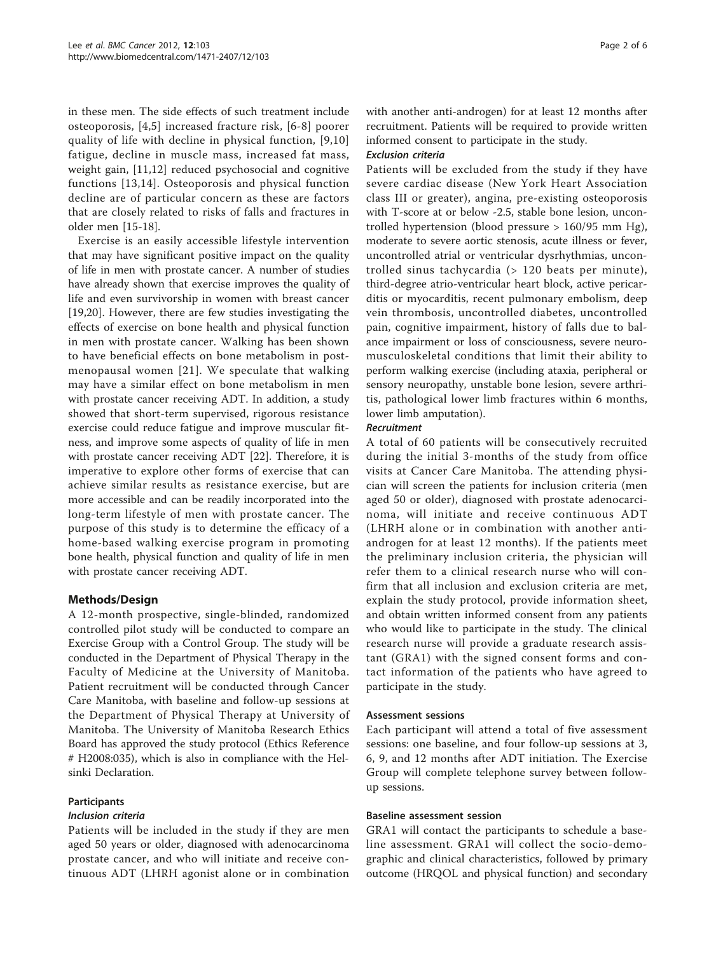in these men. The side effects of such treatment include osteoporosis, [\[4](#page-4-0),[5\]](#page-4-0) increased fracture risk, [[6-8\]](#page-4-0) poorer quality of life with decline in physical function, [[9,10](#page-4-0)] fatigue, decline in muscle mass, increased fat mass, weight gain, [[11,12\]](#page-4-0) reduced psychosocial and cognitive functions [[13](#page-4-0),[14](#page-4-0)]. Osteoporosis and physical function decline are of particular concern as these are factors that are closely related to risks of falls and fractures in older men [\[15-18](#page-4-0)].

Exercise is an easily accessible lifestyle intervention that may have significant positive impact on the quality of life in men with prostate cancer. A number of studies have already shown that exercise improves the quality of life and even survivorship in women with breast cancer [[19,](#page-4-0)[20\]](#page-5-0). However, there are few studies investigating the effects of exercise on bone health and physical function in men with prostate cancer. Walking has been shown to have beneficial effects on bone metabolism in postmenopausal women [[21](#page-5-0)]. We speculate that walking may have a similar effect on bone metabolism in men with prostate cancer receiving ADT. In addition, a study showed that short-term supervised, rigorous resistance exercise could reduce fatigue and improve muscular fitness, and improve some aspects of quality of life in men with prostate cancer receiving ADT [[22\]](#page-5-0). Therefore, it is imperative to explore other forms of exercise that can achieve similar results as resistance exercise, but are more accessible and can be readily incorporated into the long-term lifestyle of men with prostate cancer. The purpose of this study is to determine the efficacy of a home-based walking exercise program in promoting bone health, physical function and quality of life in men with prostate cancer receiving ADT.

#### Methods/Design

A 12-month prospective, single-blinded, randomized controlled pilot study will be conducted to compare an Exercise Group with a Control Group. The study will be conducted in the Department of Physical Therapy in the Faculty of Medicine at the University of Manitoba. Patient recruitment will be conducted through Cancer Care Manitoba, with baseline and follow-up sessions at the Department of Physical Therapy at University of Manitoba. The University of Manitoba Research Ethics Board has approved the study protocol (Ethics Reference # H2008:035), which is also in compliance with the Helsinki Declaration.

#### **Participants**

#### Inclusion criteria

Patients will be included in the study if they are men aged 50 years or older, diagnosed with adenocarcinoma prostate cancer, and who will initiate and receive continuous ADT (LHRH agonist alone or in combination with another anti-androgen) for at least 12 months after recruitment. Patients will be required to provide written informed consent to participate in the study.

#### Exclusion criteria

Patients will be excluded from the study if they have severe cardiac disease (New York Heart Association class III or greater), angina, pre-existing osteoporosis with T-score at or below -2.5, stable bone lesion, uncontrolled hypertension (blood pressure > 160/95 mm Hg), moderate to severe aortic stenosis, acute illness or fever, uncontrolled atrial or ventricular dysrhythmias, uncontrolled sinus tachycardia (> 120 beats per minute), third-degree atrio-ventricular heart block, active pericarditis or myocarditis, recent pulmonary embolism, deep vein thrombosis, uncontrolled diabetes, uncontrolled pain, cognitive impairment, history of falls due to balance impairment or loss of consciousness, severe neuromusculoskeletal conditions that limit their ability to perform walking exercise (including ataxia, peripheral or sensory neuropathy, unstable bone lesion, severe arthritis, pathological lower limb fractures within 6 months, lower limb amputation).

#### Recruitment

A total of 60 patients will be consecutively recruited during the initial 3-months of the study from office visits at Cancer Care Manitoba. The attending physician will screen the patients for inclusion criteria (men aged 50 or older), diagnosed with prostate adenocarcinoma, will initiate and receive continuous ADT (LHRH alone or in combination with another antiandrogen for at least 12 months). If the patients meet the preliminary inclusion criteria, the physician will refer them to a clinical research nurse who will confirm that all inclusion and exclusion criteria are met, explain the study protocol, provide information sheet, and obtain written informed consent from any patients who would like to participate in the study. The clinical research nurse will provide a graduate research assistant (GRA1) with the signed consent forms and contact information of the patients who have agreed to participate in the study.

#### Assessment sessions

Each participant will attend a total of five assessment sessions: one baseline, and four follow-up sessions at 3, 6, 9, and 12 months after ADT initiation. The Exercise Group will complete telephone survey between followup sessions.

#### Baseline assessment session

GRA1 will contact the participants to schedule a baseline assessment. GRA1 will collect the socio-demographic and clinical characteristics, followed by primary outcome (HRQOL and physical function) and secondary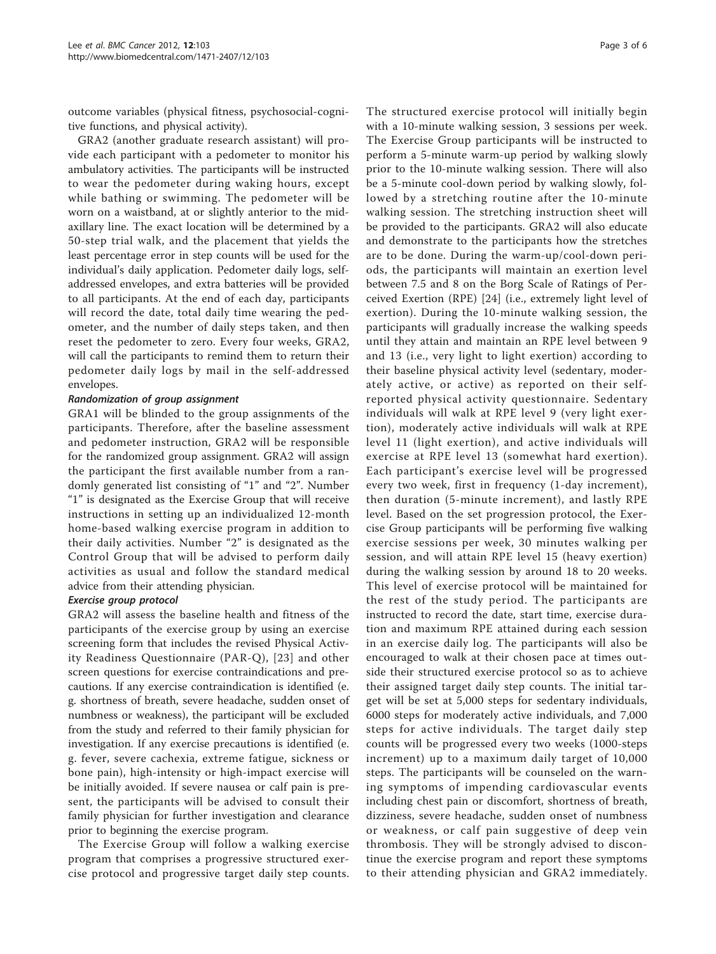outcome variables (physical fitness, psychosocial-cognitive functions, and physical activity).

GRA2 (another graduate research assistant) will provide each participant with a pedometer to monitor his ambulatory activities. The participants will be instructed to wear the pedometer during waking hours, except while bathing or swimming. The pedometer will be worn on a waistband, at or slightly anterior to the midaxillary line. The exact location will be determined by a 50-step trial walk, and the placement that yields the least percentage error in step counts will be used for the individual's daily application. Pedometer daily logs, selfaddressed envelopes, and extra batteries will be provided to all participants. At the end of each day, participants will record the date, total daily time wearing the pedometer, and the number of daily steps taken, and then reset the pedometer to zero. Every four weeks, GRA2, will call the participants to remind them to return their pedometer daily logs by mail in the self-addressed envelopes.

#### Randomization of group assignment

GRA1 will be blinded to the group assignments of the participants. Therefore, after the baseline assessment and pedometer instruction, GRA2 will be responsible for the randomized group assignment. GRA2 will assign the participant the first available number from a randomly generated list consisting of "1" and "2". Number "1" is designated as the Exercise Group that will receive instructions in setting up an individualized 12-month home-based walking exercise program in addition to their daily activities. Number "2" is designated as the Control Group that will be advised to perform daily activities as usual and follow the standard medical advice from their attending physician.

#### Exercise group protocol

GRA2 will assess the baseline health and fitness of the participants of the exercise group by using an exercise screening form that includes the revised Physical Activity Readiness Questionnaire (PAR-Q), [[23](#page-5-0)] and other screen questions for exercise contraindications and precautions. If any exercise contraindication is identified (e. g. shortness of breath, severe headache, sudden onset of numbness or weakness), the participant will be excluded from the study and referred to their family physician for investigation. If any exercise precautions is identified (e. g. fever, severe cachexia, extreme fatigue, sickness or bone pain), high-intensity or high-impact exercise will be initially avoided. If severe nausea or calf pain is present, the participants will be advised to consult their family physician for further investigation and clearance prior to beginning the exercise program.

The Exercise Group will follow a walking exercise program that comprises a progressive structured exercise protocol and progressive target daily step counts. The structured exercise protocol will initially begin with a 10-minute walking session, 3 sessions per week. The Exercise Group participants will be instructed to perform a 5-minute warm-up period by walking slowly prior to the 10-minute walking session. There will also be a 5-minute cool-down period by walking slowly, followed by a stretching routine after the 10-minute walking session. The stretching instruction sheet will be provided to the participants. GRA2 will also educate and demonstrate to the participants how the stretches are to be done. During the warm-up/cool-down periods, the participants will maintain an exertion level between 7.5 and 8 on the Borg Scale of Ratings of Perceived Exertion (RPE) [[24\]](#page-5-0) (i.e., extremely light level of exertion). During the 10-minute walking session, the participants will gradually increase the walking speeds until they attain and maintain an RPE level between 9 and 13 (i.e., very light to light exertion) according to their baseline physical activity level (sedentary, moderately active, or active) as reported on their selfreported physical activity questionnaire. Sedentary individuals will walk at RPE level 9 (very light exertion), moderately active individuals will walk at RPE level 11 (light exertion), and active individuals will exercise at RPE level 13 (somewhat hard exertion). Each participant's exercise level will be progressed every two week, first in frequency (1-day increment), then duration (5-minute increment), and lastly RPE level. Based on the set progression protocol, the Exercise Group participants will be performing five walking exercise sessions per week, 30 minutes walking per session, and will attain RPE level 15 (heavy exertion) during the walking session by around 18 to 20 weeks. This level of exercise protocol will be maintained for the rest of the study period. The participants are instructed to record the date, start time, exercise duration and maximum RPE attained during each session in an exercise daily log. The participants will also be encouraged to walk at their chosen pace at times outside their structured exercise protocol so as to achieve their assigned target daily step counts. The initial target will be set at 5,000 steps for sedentary individuals, 6000 steps for moderately active individuals, and 7,000 steps for active individuals. The target daily step counts will be progressed every two weeks (1000-steps increment) up to a maximum daily target of 10,000 steps. The participants will be counseled on the warning symptoms of impending cardiovascular events including chest pain or discomfort, shortness of breath, dizziness, severe headache, sudden onset of numbness or weakness, or calf pain suggestive of deep vein thrombosis. They will be strongly advised to discontinue the exercise program and report these symptoms to their attending physician and GRA2 immediately.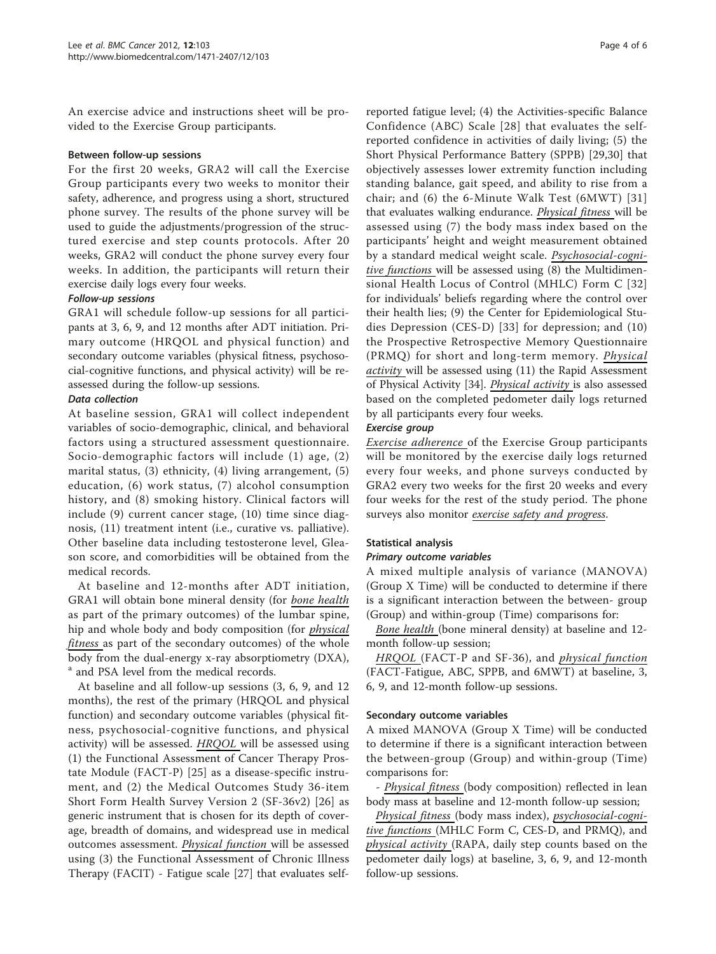An exercise advice and instructions sheet will be provided to the Exercise Group participants.

#### Between follow-up sessions

For the first 20 weeks, GRA2 will call the Exercise Group participants every two weeks to monitor their safety, adherence, and progress using a short, structured phone survey. The results of the phone survey will be used to guide the adjustments/progression of the structured exercise and step counts protocols. After 20 weeks, GRA2 will conduct the phone survey every four weeks. In addition, the participants will return their exercise daily logs every four weeks.

#### Follow-up sessions

GRA1 will schedule follow-up sessions for all participants at 3, 6, 9, and 12 months after ADT initiation. Primary outcome (HRQOL and physical function) and secondary outcome variables (physical fitness, psychosocial-cognitive functions, and physical activity) will be reassessed during the follow-up sessions.

#### Data collection

At baseline session, GRA1 will collect independent variables of socio-demographic, clinical, and behavioral factors using a structured assessment questionnaire. Socio-demographic factors will include (1) age, (2) marital status, (3) ethnicity, (4) living arrangement, (5) education, (6) work status, (7) alcohol consumption history, and (8) smoking history. Clinical factors will include (9) current cancer stage, (10) time since diagnosis, (11) treatment intent (i.e., curative vs. palliative). Other baseline data including testosterone level, Gleason score, and comorbidities will be obtained from the medical records.

At baseline and 12-months after ADT initiation, GRA1 will obtain bone mineral density (for bone health as part of the primary outcomes) of the lumbar spine, hip and whole body and body composition (for *physical* fitness as part of the secondary outcomes) of the whole body from the dual-energy x-ray absorptiometry (DXA), <sup>a</sup> and PSA level from the medical records.

At baseline and all follow-up sessions (3, 6, 9, and 12 months), the rest of the primary (HRQOL and physical function) and secondary outcome variables (physical fitness, psychosocial-cognitive functions, and physical activity) will be assessed. **HRQOL** will be assessed using (1) the Functional Assessment of Cancer Therapy Prostate Module (FACT-P) [\[25](#page-5-0)] as a disease-specific instrument, and (2) the Medical Outcomes Study 36-item Short Form Health Survey Version 2 (SF-36v2) [\[26](#page-5-0)] as generic instrument that is chosen for its depth of coverage, breadth of domains, and widespread use in medical outcomes assessment. Physical function will be assessed using (3) the Functional Assessment of Chronic Illness Therapy (FACIT) - Fatigue scale [[27](#page-5-0)] that evaluates self-

reported fatigue level; (4) the Activities-specific Balance Confidence (ABC) Scale [\[28](#page-5-0)] that evaluates the selfreported confidence in activities of daily living; (5) the Short Physical Performance Battery (SPPB) [\[29](#page-5-0),[30\]](#page-5-0) that objectively assesses lower extremity function including standing balance, gait speed, and ability to rise from a chair; and (6) the 6-Minute Walk Test (6MWT) [[31](#page-5-0)] that evaluates walking endurance. Physical fitness will be assessed using (7) the body mass index based on the participants' height and weight measurement obtained by a standard medical weight scale. Psychosocial-cognitive functions will be assessed using (8) the Multidimensional Health Locus of Control (MHLC) Form C [[32](#page-5-0)] for individuals' beliefs regarding where the control over their health lies; (9) the Center for Epidemiological Studies Depression (CES-D) [\[33\]](#page-5-0) for depression; and (10) the Prospective Retrospective Memory Questionnaire (PRMQ) for short and long-term memory. Physical activity will be assessed using (11) the Rapid Assessment of Physical Activity [[34](#page-5-0)]. Physical activity is also assessed based on the completed pedometer daily logs returned by all participants every four weeks.

#### Exercise group

Exercise adherence of the Exercise Group participants will be monitored by the exercise daily logs returned every four weeks, and phone surveys conducted by GRA2 every two weeks for the first 20 weeks and every four weeks for the rest of the study period. The phone surveys also monitor exercise safety and progress.

#### Statistical analysis

#### Primary outcome variables

A mixed multiple analysis of variance (MANOVA) (Group X Time) will be conducted to determine if there is a significant interaction between the between- group (Group) and within-group (Time) comparisons for:

Bone health (bone mineral density) at baseline and 12 month follow-up session;

HRQOL (FACT-P and SF-36), and physical function (FACT-Fatigue, ABC, SPPB, and 6MWT) at baseline, 3, 6, 9, and 12-month follow-up sessions.

#### Secondary outcome variables

A mixed MANOVA (Group X Time) will be conducted to determine if there is a significant interaction between the between-group (Group) and within-group (Time) comparisons for:

- Physical fitness (body composition) reflected in lean body mass at baseline and 12-month follow-up session;

Physical fitness (body mass index), psychosocial-cognitive functions (MHLC Form C, CES-D, and PRMQ), and physical activity (RAPA, daily step counts based on the pedometer daily logs) at baseline, 3, 6, 9, and 12-month follow-up sessions.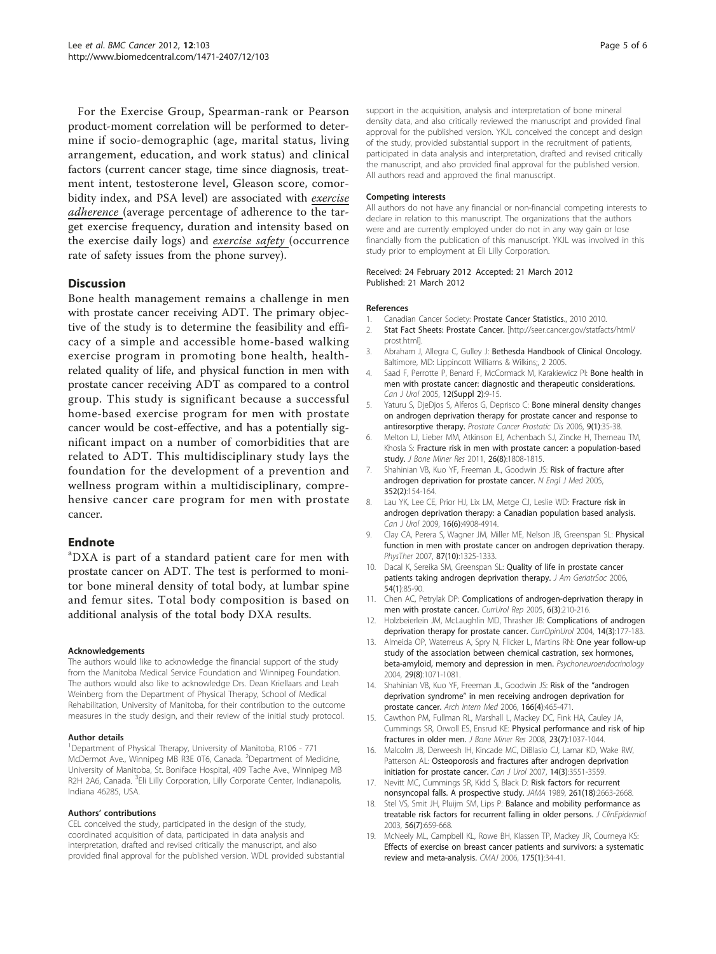<span id="page-4-0"></span>For the Exercise Group, Spearman-rank or Pearson product-moment correlation will be performed to determine if socio-demographic (age, marital status, living arrangement, education, and work status) and clinical factors (current cancer stage, time since diagnosis, treatment intent, testosterone level, Gleason score, comorbidity index, and PSA level) are associated with exercise adherence (average percentage of adherence to the target exercise frequency, duration and intensity based on the exercise daily logs) and exercise safety (occurrence rate of safety issues from the phone survey).

#### **Discussion**

Bone health management remains a challenge in men with prostate cancer receiving ADT. The primary objective of the study is to determine the feasibility and efficacy of a simple and accessible home-based walking exercise program in promoting bone health, healthrelated quality of life, and physical function in men with prostate cancer receiving ADT as compared to a control group. This study is significant because a successful home-based exercise program for men with prostate cancer would be cost-effective, and has a potentially significant impact on a number of comorbidities that are related to ADT. This multidisciplinary study lays the foundation for the development of a prevention and wellness program within a multidisciplinary, comprehensive cancer care program for men with prostate cancer.

#### Endnote

<sup>a</sup>DXA is part of a standard patient care for men with prostate cancer on ADT. The test is performed to monitor bone mineral density of total body, at lumbar spine and femur sites. Total body composition is based on additional analysis of the total body DXA results.

#### Acknowledgements

The authors would like to acknowledge the financial support of the study from the Manitoba Medical Service Foundation and Winnipeg Foundation. The authors would also like to acknowledge Drs. Dean Kriellaars and Leah Weinberg from the Department of Physical Therapy, School of Medical Rehabilitation, University of Manitoba, for their contribution to the outcome measures in the study design, and their review of the initial study protocol.

#### Author details

<sup>1</sup>Department of Physical Therapy, University of Manitoba, R106 - 771 McDermot Ave., Winnipeg MB R3E 0T6, Canada. <sup>2</sup>Department of Medicine, University of Manitoba, St. Boniface Hospital, 409 Tache Ave., Winnipeg MB R2H 2A6, Canada. <sup>3</sup>Eli Lilly Corporation, Lilly Corporate Center, Indianapolis, Indiana 46285, USA.

#### Authors' contributions

CEL conceived the study, participated in the design of the study, coordinated acquisition of data, participated in data analysis and interpretation, drafted and revised critically the manuscript, and also provided final approval for the published version. WDL provided substantial

support in the acquisition, analysis and interpretation of bone mineral density data, and also critically reviewed the manuscript and provided final approval for the published version. YKJL conceived the concept and design of the study, provided substantial support in the recruitment of patients, participated in data analysis and interpretation, drafted and revised critically the manuscript, and also provided final approval for the published version. All authors read and approved the final manuscript.

#### Competing interests

All authors do not have any financial or non-financial competing interests to declare in relation to this manuscript. The organizations that the authors were and are currently employed under do not in any way gain or lose financially from the publication of this manuscript. YKJL was involved in this study prior to employment at Eli Lilly Corporation.

#### Received: 24 February 2012 Accepted: 21 March 2012 Published: 21 March 2012

#### References

- 1. Canadian Cancer Society: Prostate Cancer Statistics., 2010 2010.
- 2. Stat Fact Sheets: Prostate Cancer. [\[http://seer.cancer.gov/statfacts/html/](http://seer.cancer.gov/statfacts/html/prost.html) [prost.html](http://seer.cancer.gov/statfacts/html/prost.html)].
- 3. Abraham J, Allegra C, Gulley J: Bethesda Handbook of Clinical Oncology. Baltimore, MD: Lippincott Williams & Wilkins;, 2 2005.
- 4. Saad F, Perrotte P, Benard F, McCormack M, Karakiewicz PI: [Bone health in](http://www.ncbi.nlm.nih.gov/pubmed/16018826?dopt=Abstract) [men with prostate cancer: diagnostic and therapeutic considerations.](http://www.ncbi.nlm.nih.gov/pubmed/16018826?dopt=Abstract) Can J Urol 2005, 12(Suppl 2):9-15.
- 5. Yaturu S, DjeDjos S, Alferos G, Deprisco C: [Bone mineral density changes](http://www.ncbi.nlm.nih.gov/pubmed/16276350?dopt=Abstract) [on androgen deprivation therapy for prostate cancer and response to](http://www.ncbi.nlm.nih.gov/pubmed/16276350?dopt=Abstract) [antiresorptive therapy.](http://www.ncbi.nlm.nih.gov/pubmed/16276350?dopt=Abstract) Prostate Cancer Prostatic Dis 2006, 9(1):35-38.
- Melton LJ, Lieber MM, Atkinson EJ, Achenbach SJ, Zincke H, Therneau TM, Khosla S: [Fracture risk in men with prostate cancer: a population-based](http://www.ncbi.nlm.nih.gov/pubmed/21520274?dopt=Abstract) [study.](http://www.ncbi.nlm.nih.gov/pubmed/21520274?dopt=Abstract) J Bone Miner Res 2011, 26(8):1808-1815.
- 7. Shahinian VB, Kuo YF, Freeman JL, Goodwin JS: [Risk of fracture after](http://www.ncbi.nlm.nih.gov/pubmed/15647578?dopt=Abstract) [androgen deprivation for prostate cancer.](http://www.ncbi.nlm.nih.gov/pubmed/15647578?dopt=Abstract) N Engl J Med 2005, 352(2):154-164.
- 8. Lau YK, Lee CE, Prior HJ, Lix LM, Metge CJ, Leslie WD: [Fracture risk in](http://www.ncbi.nlm.nih.gov/pubmed/20003666?dopt=Abstract) [androgen deprivation therapy: a Canadian population based analysis.](http://www.ncbi.nlm.nih.gov/pubmed/20003666?dopt=Abstract) Can J Urol 2009, 16(6):4908-4914.
- 9. Clay CA, Perera S, Wagner JM, Miller ME, Nelson JB, Greenspan SL: Physical function in men with prostate cancer on androgen deprivation therapy. PhysTher 2007, 87(10):1325-1333.
- 10. Dacal K, Sereika SM, Greenspan SL: Quality of life in prostate cancer patients taking androgen deprivation therapy. J Am GeriatrSoc 2006, 54(1):85-90.
- 11. Chen AC, Petrylak DP: Complications of androgen-deprivation therapy in men with prostate cancer. CurrUrol Rep 2005, 6(3):210-216.
- 12. Holzbeierlein JM, McLaughlin MD, Thrasher JB: Complications of androgen deprivation therapy for prostate cancer. CurrOpinUrol 2004, 14(3):177-183.
- 13. Almeida OP, Waterreus A, Spry N, Flicker L, Martins RN: [One year follow-up](http://www.ncbi.nlm.nih.gov/pubmed/15219659?dopt=Abstract) [study of the association between chemical castration, sex hormones,](http://www.ncbi.nlm.nih.gov/pubmed/15219659?dopt=Abstract) [beta-amyloid, memory and depression in men.](http://www.ncbi.nlm.nih.gov/pubmed/15219659?dopt=Abstract) Psychoneuroendocrinology 2004, 29(8):1071-1081.
- 14. Shahinian VB, Kuo YF, Freeman JL, Goodwin JS: [Risk of the](http://www.ncbi.nlm.nih.gov/pubmed/16505268?dopt=Abstract) "androgen deprivation syndrome" [in men receiving androgen deprivation for](http://www.ncbi.nlm.nih.gov/pubmed/16505268?dopt=Abstract) [prostate cancer.](http://www.ncbi.nlm.nih.gov/pubmed/16505268?dopt=Abstract) Arch Intern Med 2006, 166(4):465-471.
- Cawthon PM, Fullman RL, Marshall L, Mackey DC, Fink HA, Cauley JA, Cummings SR, Orwoll ES, Ensrud KE: [Physical performance and risk of hip](http://www.ncbi.nlm.nih.gov/pubmed/18302496?dopt=Abstract) [fractures in older men.](http://www.ncbi.nlm.nih.gov/pubmed/18302496?dopt=Abstract) J Bone Miner Res 2008, 23(7):1037-1044.
- 16. Malcolm JB, Derweesh IH, Kincade MC, DiBlasio CJ, Lamar KD, Wake RW, Patterson AL: Osteoporosis [and fractures after androgen deprivation](http://www.ncbi.nlm.nih.gov/pubmed/17594745?dopt=Abstract) [initiation for prostate cancer.](http://www.ncbi.nlm.nih.gov/pubmed/17594745?dopt=Abstract) Can J Urol 2007, 14(3):3551-3559.
- 17. Nevitt MC, Cummings SR, Kidd S, Black D: [Risk factors for recurrent](http://www.ncbi.nlm.nih.gov/pubmed/2709546?dopt=Abstract) [nonsyncopal falls. A prospective study.](http://www.ncbi.nlm.nih.gov/pubmed/2709546?dopt=Abstract) JAMA 1989, 261(18):2663-2668.
- 18. Stel VS, Smit JH, Pluijm SM, Lips P: Balance and mobility performance as treatable risk factors for recurrent falling in older persons. J ClinEpidemiol 2003, 56(7):659-668.
- 19. McNeely ML, Campbell KL, Rowe BH, Klassen TP, Mackey JR, Courneya KS: [Effects of exercise on breast cancer patients and survivors: a systematic](http://www.ncbi.nlm.nih.gov/pubmed/16818906?dopt=Abstract) [review and meta-analysis.](http://www.ncbi.nlm.nih.gov/pubmed/16818906?dopt=Abstract) CMAJ 2006, 175(1):34-41.